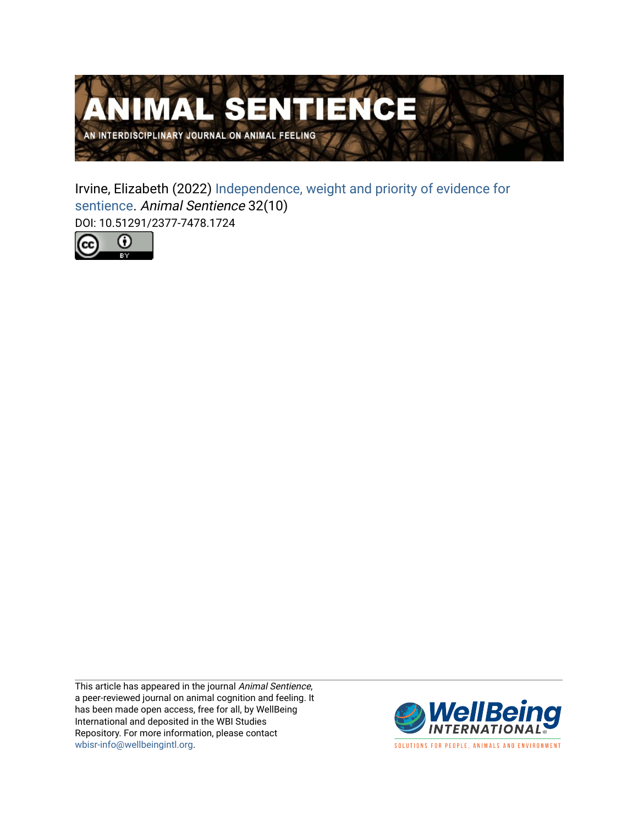

Irvine, Elizabeth (2022) [Independence, weight and priority of evidence for](https://www.wellbeingintlstudiesrepository.org/animsent/vol7/iss32/10)  [sentience.](https://www.wellbeingintlstudiesrepository.org/animsent/vol7/iss32/10) Animal Sentience 32(10) DOI: 10.51291/2377-7478.1724



This article has appeared in the journal Animal Sentience, a peer-reviewed journal on animal cognition and feeling. It has been made open access, free for all, by WellBeing International and deposited in the WBI Studies Repository. For more information, please contact [wbisr-info@wellbeingintl.org](mailto:wbisr-info@wellbeingintl.org).



SOLUTIONS FOR PEOPLE, ANIMALS AND ENVIRONMENT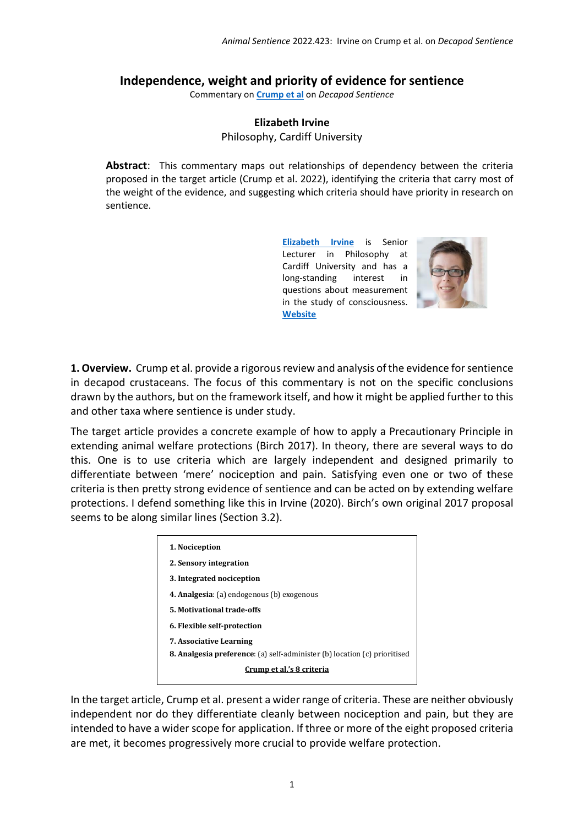## **Independence, weight and priority of evidence for sentience**

Commentary on **[Crump et al](https://www.wellbeingintlstudiesrepository.org/animsent/vol7/iss32/1/)** on *Decapod Sentience*

## **Elizabeth Irvine** Philosophy, Cardiff University

**Abstract**: This commentary maps out relationships of dependency between the criteria proposed in the target article (Crump et al. 2022), identifying the criteria that carry most of the weight of the evidence, and suggesting which criteria should have priority in research on sentience.

> **[Elizabeth Irvine](mailto:irvinee@cardiff.ac.uk)** is Senior Lecturer in Philosophy at Cardiff University and has a long-standing interest in questions about measurement in the study of consciousness. **[Website](https://www.cardiff.ac.uk/people/view/99173-irvine-elizabeth)**



**1. Overview.** Crump et al. provide a rigorous review and analysis of the evidence for sentience in decapod crustaceans. The focus of this commentary is not on the specific conclusions drawn by the authors, but on the framework itself, and how it might be applied further to this and other taxa where sentience is under study.

The target article provides a concrete example of how to apply a Precautionary Principle in extending animal welfare protections (Birch 2017). In theory, there are several ways to do this. One is to use criteria which are largely independent and designed primarily to differentiate between 'mere' nociception and pain. Satisfying even one or two of these criteria is then pretty strong evidence of sentience and can be acted on by extending welfare protections. I defend something like this in Irvine (2020). Birch's own original 2017 proposal seems to be along similar lines (Section 3.2).

| 1. Nociception                                                                   |
|----------------------------------------------------------------------------------|
| 2. Sensory integration                                                           |
| 3. Integrated nociception                                                        |
| <b>4. Analgesia:</b> (a) endogenous (b) exogenous                                |
| 5. Motivational trade-offs                                                       |
| 6. Flexible self-protection                                                      |
| <b>7. Associative Learning</b>                                                   |
| <b>8. Analgesia preference:</b> (a) self-administer (b) location (c) prioritised |
| Crump et al.'s 8 criteria                                                        |

In the target article, Crump et al. present a wider range of criteria. These are neither obviously independent nor do they differentiate cleanly between nociception and pain, but they are intended to have a wider scope for application. If three or more of the eight proposed criteria are met, it becomes progressively more crucial to provide welfare protection.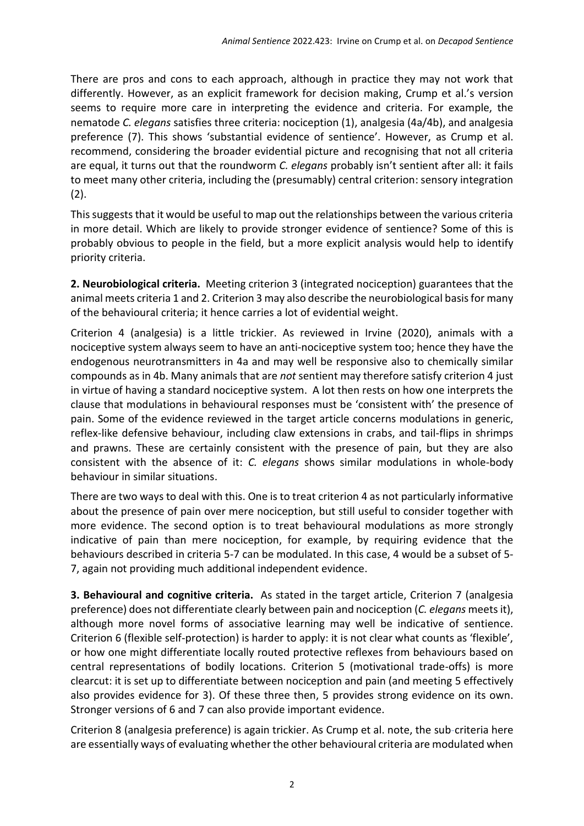There are pros and cons to each approach, although in practice they may not work that differently. However, as an explicit framework for decision making, Crump et al.'s version seems to require more care in interpreting the evidence and criteria. For example, the nematode *C. elegans* satisfies three criteria: nociception (1), analgesia (4a/4b), and analgesia preference (7). This shows 'substantial evidence of sentience'. However, as Crump et al. recommend, considering the broader evidential picture and recognising that not all criteria are equal, it turns out that the roundworm *C. elegans* probably isn't sentient after all: it fails to meet many other criteria, including the (presumably) central criterion: sensory integration (2).

This suggests that it would be useful to map out the relationships between the various criteria in more detail. Which are likely to provide stronger evidence of sentience? Some of this is probably obvious to people in the field, but a more explicit analysis would help to identify priority criteria.

**2. Neurobiological criteria.** Meeting criterion 3 (integrated nociception) guarantees that the animal meets criteria 1 and 2. Criterion 3 may also describe the neurobiological basis for many of the behavioural criteria; it hence carries a lot of evidential weight.

Criterion 4 (analgesia) is a little trickier. As reviewed in Irvine (2020), animals with a nociceptive system always seem to have an anti-nociceptive system too; hence they have the endogenous neurotransmitters in 4a and may well be responsive also to chemically similar compounds as in 4b. Many animals that are *not* sentient may therefore satisfy criterion 4 just in virtue of having a standard nociceptive system. A lot then rests on how one interprets the clause that modulations in behavioural responses must be 'consistent with' the presence of pain. Some of the evidence reviewed in the target article concerns modulations in generic, reflex-like defensive behaviour, including claw extensions in crabs, and tail-flips in shrimps and prawns. These are certainly consistent with the presence of pain, but they are also consistent with the absence of it: *C. elegans* shows similar modulations in whole-body behaviour in similar situations.

There are two ways to deal with this. One is to treat criterion 4 as not particularly informative about the presence of pain over mere nociception, but still useful to consider together with more evidence. The second option is to treat behavioural modulations as more strongly indicative of pain than mere nociception, for example, by requiring evidence that the behaviours described in criteria 5-7 can be modulated. In this case, 4 would be a subset of 5- 7, again not providing much additional independent evidence.

**3. Behavioural and cognitive criteria.** As stated in the target article, Criterion 7 (analgesia preference) does not differentiate clearly between pain and nociception (*C. elegans* meets it), although more novel forms of associative learning may well be indicative of sentience. Criterion 6 (flexible self-protection) is harder to apply: it is not clear what counts as 'flexible', or how one might differentiate locally routed protective reflexes from behaviours based on central representations of bodily locations. Criterion 5 (motivational trade-offs) is more clearcut: it is set up to differentiate between nociception and pain (and meeting 5 effectively also provides evidence for 3). Of these three then, 5 provides strong evidence on its own. Stronger versions of 6 and 7 can also provide important evidence.

Criterion 8 (analgesia preference) is again trickier. As Crump et al. note, the sub-criteria here are essentially ways of evaluating whether the other behavioural criteria are modulated when